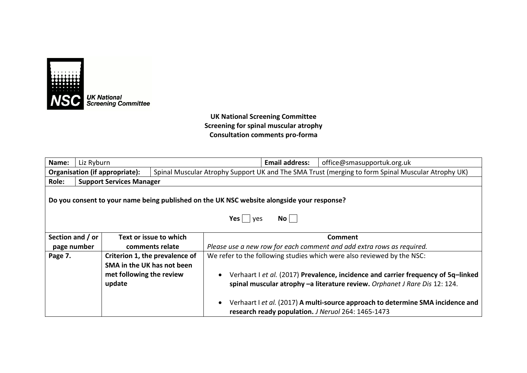

## **UK National Screening Committee Screening for spinal muscular atrophy Consultation comments pro-forma**

| Name:            | Liz Ryburn |                                                                  |                                |                                                                                                              | <b>Email address:</b> | office@smasupportuk.org.uk                                                                                                                                                                                                                         |
|------------------|------------|------------------------------------------------------------------|--------------------------------|--------------------------------------------------------------------------------------------------------------|-----------------------|----------------------------------------------------------------------------------------------------------------------------------------------------------------------------------------------------------------------------------------------------|
|                  |            | <b>Organisation (if appropriate):</b>                            |                                |                                                                                                              |                       | Spinal Muscular Atrophy Support UK and The SMA Trust (merging to form Spinal Muscular Atrophy UK)                                                                                                                                                  |
| Role:            |            | <b>Support Services Manager</b>                                  |                                |                                                                                                              |                       |                                                                                                                                                                                                                                                    |
|                  |            |                                                                  |                                | Do you consent to your name being published on the UK NSC website alongside your response?<br>Yes l<br>l ves | No                    |                                                                                                                                                                                                                                                    |
| Section and / or |            |                                                                  | Text or issue to which         |                                                                                                              |                       | Comment                                                                                                                                                                                                                                            |
| page number      |            |                                                                  | comments relate                |                                                                                                              |                       | Please use a new row for each comment and add extra rows as required.                                                                                                                                                                              |
| Page 7.          |            |                                                                  | Criterion 1, the prevalence of |                                                                                                              |                       | We refer to the following studies which were also reviewed by the NSC:                                                                                                                                                                             |
|                  |            | SMA in the UK has not been<br>met following the review<br>update |                                |                                                                                                              |                       | Verhaart I et al. (2017) Prevalence, incidence and carrier frequency of 5q-linked<br>spinal muscular atrophy -a literature review. Orphanet J Rare Dis 12: 124.<br>Verhaart I et al. (2017) A multi-source approach to determine SMA incidence and |
|                  |            |                                                                  |                                |                                                                                                              |                       | research ready population. J Neruol 264: 1465-1473                                                                                                                                                                                                 |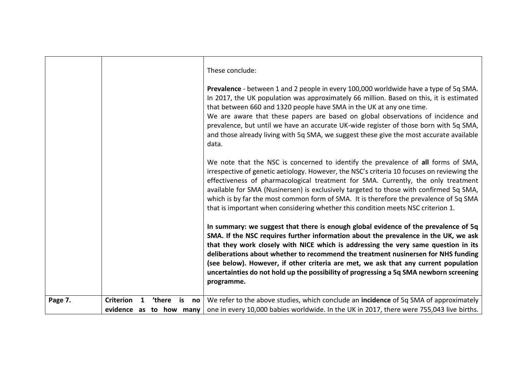|         |                                                                   | These conclude:<br>Prevalence - between 1 and 2 people in every 100,000 worldwide have a type of 5q SMA.<br>In 2017, the UK population was approximately 66 million. Based on this, it is estimated<br>that between 660 and 1320 people have SMA in the UK at any one time.<br>We are aware that these papers are based on global observations of incidence and<br>prevalence, but until we have an accurate UK-wide register of those born with 5q SMA,<br>and those already living with 5q SMA, we suggest these give the most accurate available<br>data. |
|---------|-------------------------------------------------------------------|--------------------------------------------------------------------------------------------------------------------------------------------------------------------------------------------------------------------------------------------------------------------------------------------------------------------------------------------------------------------------------------------------------------------------------------------------------------------------------------------------------------------------------------------------------------|
|         |                                                                   | We note that the NSC is concerned to identify the prevalence of all forms of SMA,<br>irrespective of genetic aetiology. However, the NSC's criteria 10 focuses on reviewing the<br>effectiveness of pharmacological treatment for SMA. Currently, the only treatment<br>available for SMA (Nusinersen) is exclusively targeted to those with confirmed 5q SMA,<br>which is by far the most common form of SMA. It is therefore the prevalence of 5q SMA<br>that is important when considering whether this condition meets NSC criterion 1.                  |
|         |                                                                   | In summary: we suggest that there is enough global evidence of the prevalence of 5q<br>SMA. If the NSC requires further information about the prevalence in the UK, we ask<br>that they work closely with NICE which is addressing the very same question in its<br>deliberations about whether to recommend the treatment nusinersen for NHS funding<br>(see below). However, if other criteria are met, we ask that any current population<br>uncertainties do not hold up the possibility of progressing a 5q SMA newborn screening<br>programme.         |
| Page 7. | <b>Criterion</b><br>'there is<br>no<br>evidence as<br>to how many | We refer to the above studies, which conclude an incidence of 5q SMA of approximately<br>one in every 10,000 babies worldwide. In the UK in 2017, there were 755,043 live births.                                                                                                                                                                                                                                                                                                                                                                            |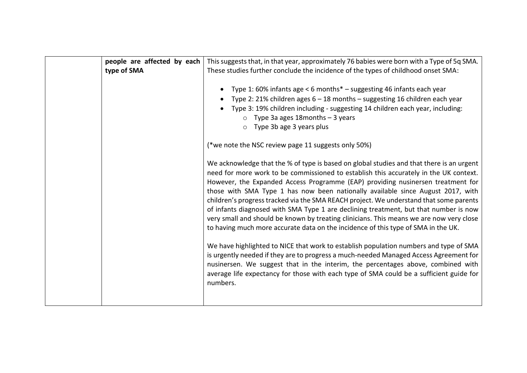| people are affected by each<br>type of SMA | This suggests that, in that year, approximately 76 babies were born with a Type of 5q SMA.<br>These studies further conclude the incidence of the types of childhood onset SMA:                                                                                                                                                                                                                                                                                                                                                                                                                                                                                                                                           |
|--------------------------------------------|---------------------------------------------------------------------------------------------------------------------------------------------------------------------------------------------------------------------------------------------------------------------------------------------------------------------------------------------------------------------------------------------------------------------------------------------------------------------------------------------------------------------------------------------------------------------------------------------------------------------------------------------------------------------------------------------------------------------------|
|                                            | Type 1: 60% infants age < 6 months* - suggesting 46 infants each year<br>Type 2: 21% children ages 6 - 18 months - suggesting 16 children each year<br>Type 3: 19% children including - suggesting 14 children each year, including:<br>$\circ$ Type 3a ages 18 months - 3 years<br>$\circ$ Type 3b age 3 years plus                                                                                                                                                                                                                                                                                                                                                                                                      |
|                                            | (*we note the NSC review page 11 suggests only 50%)                                                                                                                                                                                                                                                                                                                                                                                                                                                                                                                                                                                                                                                                       |
|                                            | We acknowledge that the % of type is based on global studies and that there is an urgent<br>need for more work to be commissioned to establish this accurately in the UK context.<br>However, the Expanded Access Programme (EAP) providing nusinersen treatment for<br>those with SMA Type 1 has now been nationally available since August 2017, with<br>children's progress tracked via the SMA REACH project. We understand that some parents<br>of infants diagnosed with SMA Type 1 are declining treatment, but that number is now<br>very small and should be known by treating clinicians. This means we are now very close<br>to having much more accurate data on the incidence of this type of SMA in the UK. |
|                                            | We have highlighted to NICE that work to establish population numbers and type of SMA<br>is urgently needed if they are to progress a much-needed Managed Access Agreement for<br>nusinersen. We suggest that in the interim, the percentages above, combined with<br>average life expectancy for those with each type of SMA could be a sufficient guide for<br>numbers.                                                                                                                                                                                                                                                                                                                                                 |
|                                            |                                                                                                                                                                                                                                                                                                                                                                                                                                                                                                                                                                                                                                                                                                                           |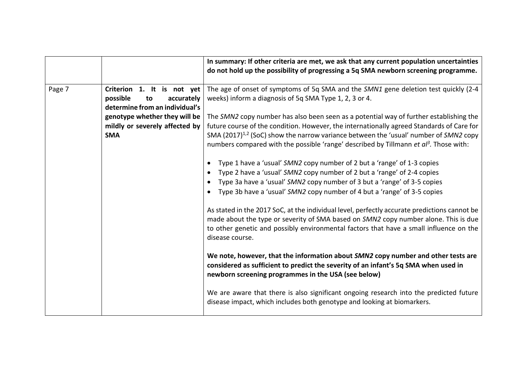|        |                                                                                              | In summary: If other criteria are met, we ask that any current population uncertainties<br>do not hold up the possibility of progressing a 5q SMA newborn screening programme.                                                                                                                                                                                                           |
|--------|----------------------------------------------------------------------------------------------|------------------------------------------------------------------------------------------------------------------------------------------------------------------------------------------------------------------------------------------------------------------------------------------------------------------------------------------------------------------------------------------|
| Page 7 | Criterion 1. It is not yet<br>possible<br>accurately<br>to<br>determine from an individual's | The age of onset of symptoms of 5q SMA and the SMN1 gene deletion test quickly (2-4<br>weeks) inform a diagnosis of 5q SMA Type 1, 2, 3 or 4.                                                                                                                                                                                                                                            |
|        | genotype whether they will be<br>mildly or severely affected by<br><b>SMA</b>                | The SMN2 copy number has also been seen as a potential way of further establishing the<br>future course of the condition. However, the internationally agreed Standards of Care for<br>SMA (2017) <sup>1,2</sup> (SoC) show the narrow variance between the 'usual' number of SMN2 copy<br>numbers compared with the possible 'range' described by Tillmann et $a^{\beta}$ . Those with: |
|        |                                                                                              | Type 1 have a 'usual' SMN2 copy number of 2 but a 'range' of 1-3 copies<br>Type 2 have a 'usual' SMN2 copy number of 2 but a 'range' of 2-4 copies<br>Type 3a have a 'usual' SMN2 copy number of 3 but a 'range' of 3-5 copies<br>Type 3b have a 'usual' SMN2 copy number of 4 but a 'range' of 3-5 copies                                                                               |
|        |                                                                                              | As stated in the 2017 SoC, at the individual level, perfectly accurate predictions cannot be<br>made about the type or severity of SMA based on SMN2 copy number alone. This is due<br>to other genetic and possibly environmental factors that have a small influence on the<br>disease course.                                                                                         |
|        |                                                                                              | We note, however, that the information about SMN2 copy number and other tests are<br>considered as sufficient to predict the severity of an infant's 5q SMA when used in<br>newborn screening programmes in the USA (see below)                                                                                                                                                          |
|        |                                                                                              | We are aware that there is also significant ongoing research into the predicted future<br>disease impact, which includes both genotype and looking at biomarkers.                                                                                                                                                                                                                        |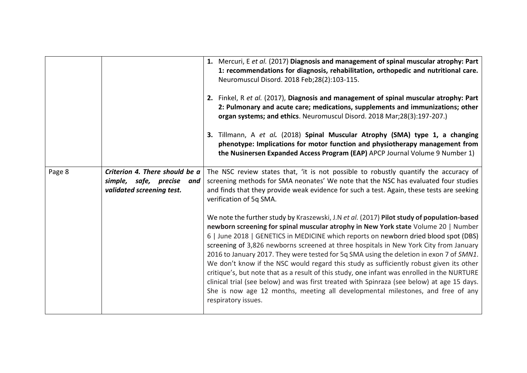|        |                                                                                             | 1. Mercuri, E et al. (2017) Diagnosis and management of spinal muscular atrophy: Part<br>1: recommendations for diagnosis, rehabilitation, orthopedic and nutritional care.<br>Neuromuscul Disord. 2018 Feb; 28(2): 103-115.<br>2. Finkel, R et al. (2017), Diagnosis and management of spinal muscular atrophy: Part<br>2: Pulmonary and acute care; medications, supplements and immunizations; other<br>organ systems; and ethics. Neuromuscul Disord. 2018 Mar;28(3):197-207.)<br>3. Tillmann, A et al. (2018) Spinal Muscular Atrophy (SMA) type 1, a changing<br>phenotype: Implications for motor function and physiotherapy management from<br>the Nusinersen Expanded Access Program (EAP) APCP Journal Volume 9 Number 1)                                                                                                                                                       |
|--------|---------------------------------------------------------------------------------------------|-------------------------------------------------------------------------------------------------------------------------------------------------------------------------------------------------------------------------------------------------------------------------------------------------------------------------------------------------------------------------------------------------------------------------------------------------------------------------------------------------------------------------------------------------------------------------------------------------------------------------------------------------------------------------------------------------------------------------------------------------------------------------------------------------------------------------------------------------------------------------------------------|
| Page 8 | Criterion 4. There should be a<br>simple, safe, precise<br>and<br>validated screening test. | The NSC review states that, 'it is not possible to robustly quantify the accuracy of<br>screening methods for SMA neonates' We note that the NSC has evaluated four studies<br>and finds that they provide weak evidence for such a test. Again, these tests are seeking                                                                                                                                                                                                                                                                                                                                                                                                                                                                                                                                                                                                                  |
|        |                                                                                             | verification of 5q SMA.<br>We note the further study by Kraszewski, J.N et al. (2017) Pilot study of population-based<br>newborn screening for spinal muscular atrophy in New York state Volume 20   Number<br>6   June 2018   GENETICS in MEDICINE which reports on newborn dried blood spot (DBS)<br>screening of 3,826 newborns screened at three hospitals in New York City from January<br>2016 to January 2017. They were tested for 5q SMA using the deletion in exon 7 of SMN1.<br>We don't know if the NSC would regard this study as sufficiently robust given its other<br>critique's, but note that as a result of this study, one infant was enrolled in the NURTURE<br>clinical trial (see below) and was first treated with Spinraza (see below) at age 15 days.<br>She is now age 12 months, meeting all developmental milestones, and free of any<br>respiratory issues. |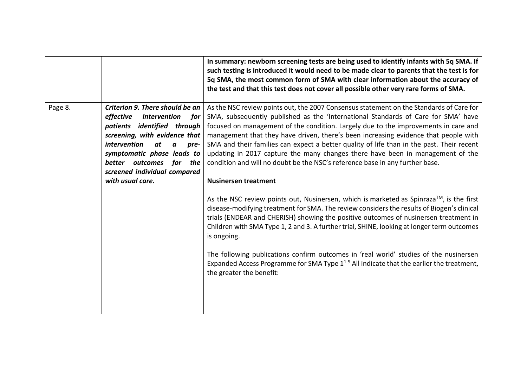|         |                                                                                                                                                                                                                                                                                                       | In summary: newborn screening tests are being used to identify infants with 5q SMA. If<br>such testing is introduced it would need to be made clear to parents that the test is for<br>5q SMA, the most common form of SMA with clear information about the accuracy of<br>the test and that this test does not cover all possible other very rare forms of SMA.                                                                                                                                                                                                                                                                                                                                                                                                                                                                                                                                                                                                                                                                                                                                                                                                                                                                                                                   |
|---------|-------------------------------------------------------------------------------------------------------------------------------------------------------------------------------------------------------------------------------------------------------------------------------------------------------|------------------------------------------------------------------------------------------------------------------------------------------------------------------------------------------------------------------------------------------------------------------------------------------------------------------------------------------------------------------------------------------------------------------------------------------------------------------------------------------------------------------------------------------------------------------------------------------------------------------------------------------------------------------------------------------------------------------------------------------------------------------------------------------------------------------------------------------------------------------------------------------------------------------------------------------------------------------------------------------------------------------------------------------------------------------------------------------------------------------------------------------------------------------------------------------------------------------------------------------------------------------------------------|
| Page 8. | Criterion 9. There should be an<br>intervention<br>effective<br>for<br>patients identified through<br>screening, with evidence that<br>intervention<br>at<br>pre-<br>$\boldsymbol{a}$<br>symptomatic phase leads to<br>better outcomes<br>for the<br>screened individual compared<br>with usual care. | As the NSC review points out, the 2007 Consensus statement on the Standards of Care for<br>SMA, subsequently published as the 'International Standards of Care for SMA' have<br>focused on management of the condition. Largely due to the improvements in care and<br>management that they have driven, there's been increasing evidence that people with<br>SMA and their families can expect a better quality of life than in the past. Their recent<br>updating in 2017 capture the many changes there have been in management of the<br>condition and will no doubt be the NSC's reference base in any further base.<br><b>Nusinersen treatment</b><br>As the NSC review points out, Nusinersen, which is marketed as Spinraza™, is the first<br>disease-modifying treatment for SMA. The review considers the results of Biogen's clinical<br>trials (ENDEAR and CHERISH) showing the positive outcomes of nusinersen treatment in<br>Children with SMA Type 1, 2 and 3. A further trial, SHINE, looking at longer term outcomes<br>is ongoing.<br>The following publications confirm outcomes in 'real world' studies of the nusinersen<br>Expanded Access Programme for SMA Type 1 <sup>1-5</sup> All indicate that the earlier the treatment,<br>the greater the benefit: |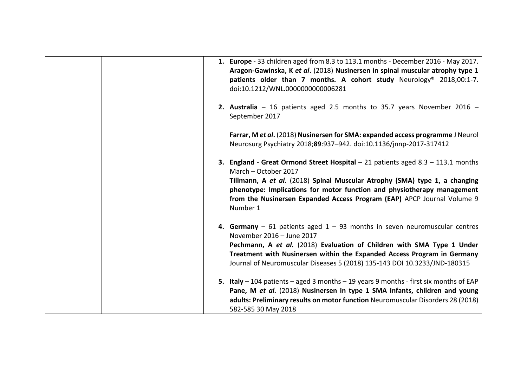|  | 1. Europe - 33 children aged from 8.3 to 113.1 months - December 2016 - May 2017.<br>Aragon-Gawinska, K et al. (2018) Nusinersen in spinal muscular atrophy type 1<br>patients older than 7 months. A cohort study Neurology <sup>®</sup> 2018;00:1-7.<br>doi:10.1212/WNL.0000000000006281                                                                     |
|--|----------------------------------------------------------------------------------------------------------------------------------------------------------------------------------------------------------------------------------------------------------------------------------------------------------------------------------------------------------------|
|  | <b>2. Australia</b> - 16 patients aged 2.5 months to 35.7 years November 2016 -<br>September 2017                                                                                                                                                                                                                                                              |
|  | Farrar, M et al. (2018) Nusinersen for SMA: expanded access programme J Neurol<br>Neurosurg Psychiatry 2018;89:937-942. doi:10.1136/jnnp-2017-317412                                                                                                                                                                                                           |
|  | <b>3. England - Great Ormond Street Hospital – 21 patients aged 8.3 – 113.1 months</b><br>March - October 2017<br>Tillmann, A et al. (2018) Spinal Muscular Atrophy (SMA) type 1, a changing<br>phenotype: Implications for motor function and physiotherapy management<br>from the Nusinersen Expanded Access Program (EAP) APCP Journal Volume 9<br>Number 1 |
|  | 4. Germany – 61 patients aged $1 - 93$ months in seven neuromuscular centres<br>November 2016 - June 2017<br>Pechmann, A et al. (2018) Evaluation of Children with SMA Type 1 Under<br>Treatment with Nusinersen within the Expanded Access Program in Germany<br>Journal of Neuromuscular Diseases 5 (2018) 135-143 DOI 10.3233/JND-180315                    |
|  | 5. Italy $-$ 104 patients $-$ aged 3 months $-$ 19 years 9 months - first six months of EAP<br>Pane, M et al. (2018) Nusinersen in type 1 SMA infants, children and young<br>adults: Preliminary results on motor function Neuromuscular Disorders 28 (2018)<br>582-585 30 May 2018                                                                            |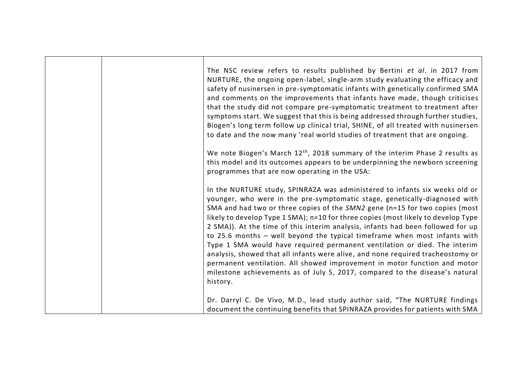|  | The NSC review refers to results published by Bertini et al. in 2017 from<br>NURTURE, the ongoing open-label, single-arm study evaluating the efficacy and<br>safety of nusinersen in pre-symptomatic infants with genetically confirmed SMA<br>and comments on the improvements that infants have made, though criticises<br>that the study did not compare pre-symptomatic treatment to treatment after<br>symptoms start. We suggest that this is being addressed through further studies,<br>Biogen's long term follow up clinical trial, SHINE, of all treated with nusinersen<br>to date and the now many 'real world studies of treatment that are ongoing.<br>We note Biogen's March 12 <sup>th</sup> , 2018 summary of the interim Phase 2 results as<br>this model and its outcomes appears to be underpinning the newborn screening<br>programmes that are now operating in the USA: |
|--|-------------------------------------------------------------------------------------------------------------------------------------------------------------------------------------------------------------------------------------------------------------------------------------------------------------------------------------------------------------------------------------------------------------------------------------------------------------------------------------------------------------------------------------------------------------------------------------------------------------------------------------------------------------------------------------------------------------------------------------------------------------------------------------------------------------------------------------------------------------------------------------------------|
|  | In the NURTURE study, SPINRAZA was administered to infants six weeks old or<br>younger, who were in the pre-symptomatic stage, genetically-diagnosed with<br>SMA and had two or three copies of the SMN2 gene (n=15 for two copies (most<br>likely to develop Type 1 SMA); n=10 for three copies (most likely to develop Type<br>2 SMA)). At the time of this interim analysis, infants had been followed for up<br>to 25.6 months - well beyond the typical timeframe when most infants with<br>Type 1 SMA would have required permanent ventilation or died. The interim<br>analysis, showed that all infants were alive, and none required tracheostomy or<br>permanent ventilation. All showed improvement in motor function and motor<br>milestone achievements as of July 5, 2017, compared to the disease's natural<br>history.                                                          |
|  | Dr. Darryl C. De Vivo, M.D., lead study author said, "The NURTURE findings<br>document the continuing benefits that SPINRAZA provides for patients with SMA                                                                                                                                                                                                                                                                                                                                                                                                                                                                                                                                                                                                                                                                                                                                     |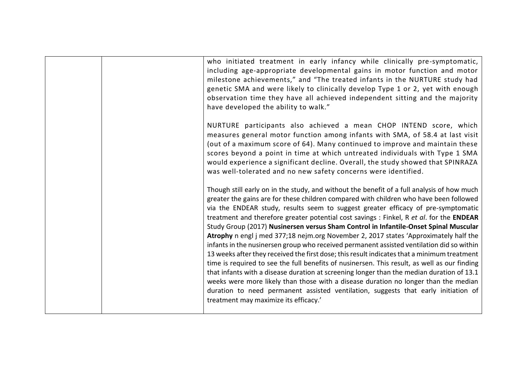who initiated treatment in early infancy while clinically pre-symptomatic, including age-appropriate developmental gains in motor function and motor milestone achievements," and "The treated infants in the NURTURE study had genetic SMA and were likely to clinically develop Type 1 or 2, yet with enough observation time they have all achieved independent sitting and the majority have developed the ability to walk."

NURTURE participants also achieved a mean CHOP INTEND score, which measures general motor function among infants with SMA, of 58.4 at last visit (out of a maximum score of 64). Many continued to improve and maintain these scores beyond a point in time at which untreated individuals with Type 1 SMA would experience a significant decline. Overall, the study showed that SPINRAZA was well-tolerated and no new safety concerns were identified.

Though still early on in the study, and without the benefit of a full analysis of how much greater the gains are for these children compared with children who have been followed via the ENDEAR study, results seem to suggest greater efficacy of pre-symptomatic treatment and therefore greater potential cost savings : Finkel, R *et al*. for the **ENDEAR** Study Group (2017) **Nusinersen versus Sham Control in Infantile-Onset Spinal Muscular Atrophy** n engl j med 377;18 nejm.org November 2, 2017 states 'Approximately half the infants in the nusinersen group who received permanent assisted ventilation did so within 13 weeks after they received the first dose; this result indicates that a minimum treatment time is required to see the full benefits of nusinersen. This result, as well as our finding that infants with a disease duration at screening longer than the median duration of 13.1 weeks were more likely than those with a disease duration no longer than the median duration to need permanent assisted ventilation, suggests that early initiation of treatment may maximize its efficacy.'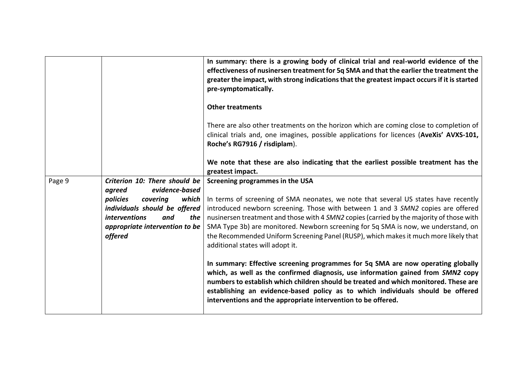|        |                                                                                                                                                                                      | In summary: there is a growing body of clinical trial and real-world evidence of the<br>effectiveness of nusinersen treatment for 5q SMA and that the earlier the treatment the<br>greater the impact, with strong indications that the greatest impact occurs if it is started<br>pre-symptomatically.                                                                                                                                                                               |
|--------|--------------------------------------------------------------------------------------------------------------------------------------------------------------------------------------|---------------------------------------------------------------------------------------------------------------------------------------------------------------------------------------------------------------------------------------------------------------------------------------------------------------------------------------------------------------------------------------------------------------------------------------------------------------------------------------|
|        |                                                                                                                                                                                      | <b>Other treatments</b>                                                                                                                                                                                                                                                                                                                                                                                                                                                               |
|        |                                                                                                                                                                                      | There are also other treatments on the horizon which are coming close to completion of<br>clinical trials and, one imagines, possible applications for licences (AveXis' AVXS-101,<br>Roche's RG7916 / risdiplam).                                                                                                                                                                                                                                                                    |
|        |                                                                                                                                                                                      | We note that these are also indicating that the earliest possible treatment has the<br>greatest impact.                                                                                                                                                                                                                                                                                                                                                                               |
| Page 9 | Criterion 10: There should be                                                                                                                                                        | Screening programmes in the USA                                                                                                                                                                                                                                                                                                                                                                                                                                                       |
|        | evidence-based<br>agreed<br>policies<br>covering<br>which<br>individuals should be offered<br><i>interventions</i><br>and<br>the<br>appropriate intervention to be<br><b>offered</b> | In terms of screening of SMA neonates, we note that several US states have recently<br>introduced newborn screening. Those with between 1 and 3 SMN2 copies are offered<br>nusinersen treatment and those with 4 SMN2 copies (carried by the majority of those with<br>SMA Type 3b) are monitored. Newborn screening for 5q SMA is now, we understand, on<br>the Recommended Uniform Screening Panel (RUSP), which makes it much more likely that<br>additional states will adopt it. |
|        |                                                                                                                                                                                      | In summary: Effective screening programmes for 5q SMA are now operating globally<br>which, as well as the confirmed diagnosis, use information gained from SMN2 copy<br>numbers to establish which children should be treated and which monitored. These are<br>establishing an evidence-based policy as to which individuals should be offered<br>interventions and the appropriate intervention to be offered.                                                                      |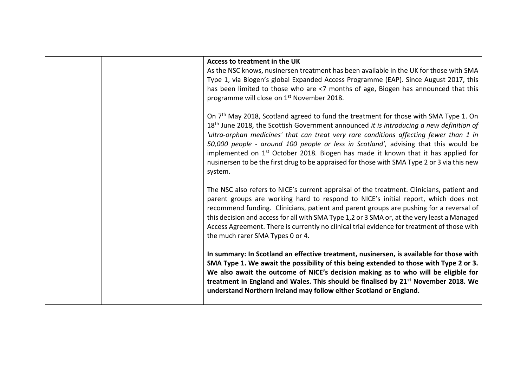|  | Access to treatment in the UK<br>As the NSC knows, nusinersen treatment has been available in the UK for those with SMA<br>Type 1, via Biogen's global Expanded Access Programme (EAP). Since August 2017, this<br>has been limited to those who are <7 months of age, Biogen has announced that this<br>programme will close on 1 <sup>st</sup> November 2018.                                                                                                                                                                                                                                     |
|--|-----------------------------------------------------------------------------------------------------------------------------------------------------------------------------------------------------------------------------------------------------------------------------------------------------------------------------------------------------------------------------------------------------------------------------------------------------------------------------------------------------------------------------------------------------------------------------------------------------|
|  | On 7 <sup>th</sup> May 2018, Scotland agreed to fund the treatment for those with SMA Type 1. On<br>18 <sup>th</sup> June 2018, the Scottish Government announced it is introducing a new definition of<br>'ultra-orphan medicines' that can treat very rare conditions affecting fewer than 1 in<br>50,000 people - around 100 people or less in Scotland', advising that this would be<br>implemented on 1 <sup>st</sup> October 2018. Biogen has made it known that it has applied for<br>nusinersen to be the first drug to be appraised for those with SMA Type 2 or 3 via this new<br>system. |
|  | The NSC also refers to NICE's current appraisal of the treatment. Clinicians, patient and<br>parent groups are working hard to respond to NICE's initial report, which does not<br>recommend funding. Clinicians, patient and parent groups are pushing for a reversal of<br>this decision and access for all with SMA Type 1,2 or 3 SMA or, at the very least a Managed<br>Access Agreement. There is currently no clinical trial evidence for treatment of those with<br>the much rarer SMA Types 0 or 4.                                                                                         |
|  | In summary: In Scotland an effective treatment, nusinersen, is available for those with<br>SMA Type 1. We await the possibility of this being extended to those with Type 2 or 3.<br>We also await the outcome of NICE's decision making as to who will be eligible for<br>treatment in England and Wales. This should be finalised by 21 <sup>st</sup> November 2018. We<br>understand Northern Ireland may follow either Scotland or England.                                                                                                                                                     |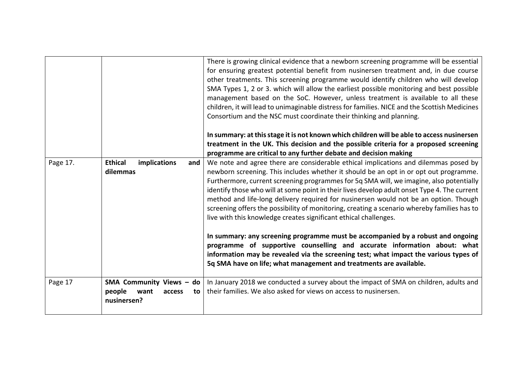|          |                                                                              | There is growing clinical evidence that a newborn screening programme will be essential<br>for ensuring greatest potential benefit from nusinersen treatment and, in due course<br>other treatments. This screening programme would identify children who will develop<br>SMA Types 1, 2 or 3. which will allow the earliest possible monitoring and best possible<br>management based on the SoC. However, unless treatment is available to all these<br>children, it will lead to unimaginable distress for families. NICE and the Scottish Medicines<br>Consortium and the NSC must coordinate their thinking and planning.                                                                                                                                                                                                                                                                                                                                  |
|----------|------------------------------------------------------------------------------|-----------------------------------------------------------------------------------------------------------------------------------------------------------------------------------------------------------------------------------------------------------------------------------------------------------------------------------------------------------------------------------------------------------------------------------------------------------------------------------------------------------------------------------------------------------------------------------------------------------------------------------------------------------------------------------------------------------------------------------------------------------------------------------------------------------------------------------------------------------------------------------------------------------------------------------------------------------------|
|          |                                                                              | In summary: at this stage it is not known which children will be able to access nusinersen                                                                                                                                                                                                                                                                                                                                                                                                                                                                                                                                                                                                                                                                                                                                                                                                                                                                      |
|          |                                                                              | treatment in the UK. This decision and the possible criteria for a proposed screening                                                                                                                                                                                                                                                                                                                                                                                                                                                                                                                                                                                                                                                                                                                                                                                                                                                                           |
|          |                                                                              | programme are critical to any further debate and decision making                                                                                                                                                                                                                                                                                                                                                                                                                                                                                                                                                                                                                                                                                                                                                                                                                                                                                                |
| Page 17. | <b>Ethical</b><br>implications<br>and<br>dilemmas                            | We note and agree there are considerable ethical implications and dilemmas posed by<br>newborn screening. This includes whether it should be an opt in or opt out programme.<br>Furthermore, current screening programmes for 5q SMA will, we imagine, also potentially<br>identify those who will at some point in their lives develop adult onset Type 4. The current<br>method and life-long delivery required for nusinersen would not be an option. Though<br>screening offers the possibility of monitoring, creating a scenario whereby families has to<br>live with this knowledge creates significant ethical challenges.<br>In summary: any screening programme must be accompanied by a robust and ongoing<br>programme of supportive counselling and accurate information about: what<br>information may be revealed via the screening test; what impact the various types of<br>5q SMA have on life; what management and treatments are available. |
| Page 17  | SMA Community Views -<br>do<br>people<br>want<br>access<br>to<br>nusinersen? | In January 2018 we conducted a survey about the impact of SMA on children, adults and<br>their families. We also asked for views on access to nusinersen.                                                                                                                                                                                                                                                                                                                                                                                                                                                                                                                                                                                                                                                                                                                                                                                                       |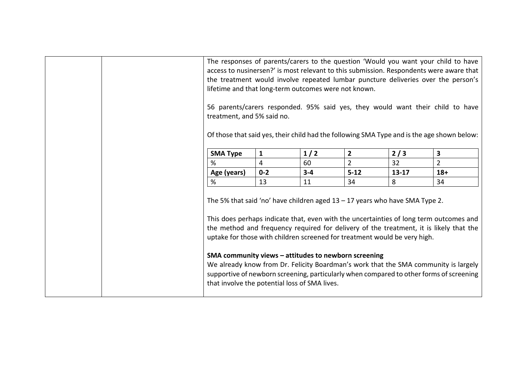| The responses of parents/carers to the question 'Would you want your child to have<br>access to nusinersen?' is most relevant to this submission. Respondents were aware that<br>the treatment would involve repeated lumbar puncture deliveries over the person's<br>lifetime and that long-term outcomes were not known.<br>56 parents/carers responded. 95% said yes, they would want their child to have<br>treatment, and 5% said no.<br>Of those that said yes, their child had the following SMA Type and is the age shown below: |
|------------------------------------------------------------------------------------------------------------------------------------------------------------------------------------------------------------------------------------------------------------------------------------------------------------------------------------------------------------------------------------------------------------------------------------------------------------------------------------------------------------------------------------------|
|                                                                                                                                                                                                                                                                                                                                                                                                                                                                                                                                          |
|                                                                                                                                                                                                                                                                                                                                                                                                                                                                                                                                          |
|                                                                                                                                                                                                                                                                                                                                                                                                                                                                                                                                          |
|                                                                                                                                                                                                                                                                                                                                                                                                                                                                                                                                          |
|                                                                                                                                                                                                                                                                                                                                                                                                                                                                                                                                          |
|                                                                                                                                                                                                                                                                                                                                                                                                                                                                                                                                          |
|                                                                                                                                                                                                                                                                                                                                                                                                                                                                                                                                          |
|                                                                                                                                                                                                                                                                                                                                                                                                                                                                                                                                          |
|                                                                                                                                                                                                                                                                                                                                                                                                                                                                                                                                          |
|                                                                                                                                                                                                                                                                                                                                                                                                                                                                                                                                          |
| $\mathbf{1}$<br>1/2<br>2/3<br>3<br><b>SMA Type</b><br>$\mathbf{2}$                                                                                                                                                                                                                                                                                                                                                                                                                                                                       |
| $\overline{4}$<br>32<br>$\overline{2}$<br>%<br>60<br>2                                                                                                                                                                                                                                                                                                                                                                                                                                                                                   |
| $0 - 2$<br>$3 - 4$<br>$5 - 12$<br>Age (years)<br>$13 - 17$<br>$18+$                                                                                                                                                                                                                                                                                                                                                                                                                                                                      |
| %<br>13<br>11<br>34<br>8<br>34                                                                                                                                                                                                                                                                                                                                                                                                                                                                                                           |
|                                                                                                                                                                                                                                                                                                                                                                                                                                                                                                                                          |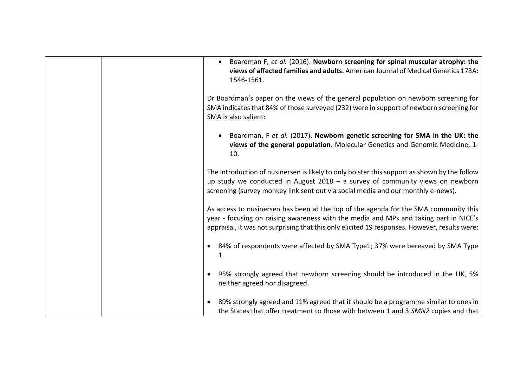|  | Boardman F, et al. (2016). Newborn screening for spinal muscular atrophy: the<br>views of affected families and adults. American Journal of Medical Genetics 173A:<br>1546-1561.                                                                                               |
|--|--------------------------------------------------------------------------------------------------------------------------------------------------------------------------------------------------------------------------------------------------------------------------------|
|  | Dr Boardman's paper on the views of the general population on newborn screening for<br>SMA indicates that 84% of those surveyed (232) were in support of newborn screening for<br>SMA is also salient:                                                                         |
|  | Boardman, F et al. (2017). Newborn genetic screening for SMA in the UK: the<br>views of the general population. Molecular Genetics and Genomic Medicine, 1-<br>10.                                                                                                             |
|  | The introduction of nusinersen is likely to only bolster this support as shown by the follow<br>up study we conducted in August $2018 - a$ survey of community views on newborn<br>screening (survey monkey link sent out via social media and our monthly e-news).            |
|  | As access to nusinersen has been at the top of the agenda for the SMA community this<br>year - focusing on raising awareness with the media and MPs and taking part in NICE's<br>appraisal, it was not surprising that this only elicited 19 responses. However, results were: |
|  | 84% of respondents were affected by SMA Type1; 37% were bereaved by SMA Type<br>$\bullet$<br>1.                                                                                                                                                                                |
|  | 95% strongly agreed that newborn screening should be introduced in the UK, 5%<br>neither agreed nor disagreed.                                                                                                                                                                 |
|  | 89% strongly agreed and 11% agreed that it should be a programme similar to ones in<br>the States that offer treatment to those with between 1 and 3 SMN2 copies and that                                                                                                      |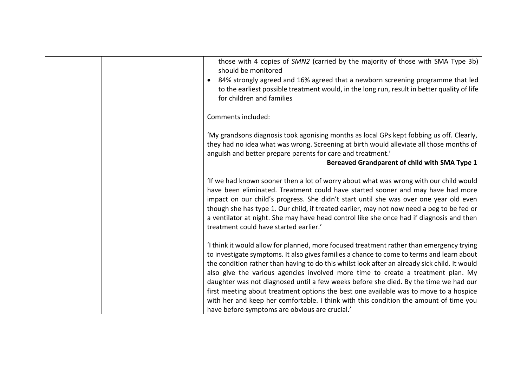|  | those with 4 copies of SMN2 (carried by the majority of those with SMA Type 3b)<br>should be monitored<br>84% strongly agreed and 16% agreed that a newborn screening programme that led<br>$\bullet$<br>to the earliest possible treatment would, in the long run, result in better quality of life<br>for children and families                                                                                                                                                                                                                                                                                                                                                                      |
|--|--------------------------------------------------------------------------------------------------------------------------------------------------------------------------------------------------------------------------------------------------------------------------------------------------------------------------------------------------------------------------------------------------------------------------------------------------------------------------------------------------------------------------------------------------------------------------------------------------------------------------------------------------------------------------------------------------------|
|  | Comments included:                                                                                                                                                                                                                                                                                                                                                                                                                                                                                                                                                                                                                                                                                     |
|  | 'My grandsons diagnosis took agonising months as local GPs kept fobbing us off. Clearly,<br>they had no idea what was wrong. Screening at birth would alleviate all those months of<br>anguish and better prepare parents for care and treatment.'<br>Bereaved Grandparent of child with SMA Type 1                                                                                                                                                                                                                                                                                                                                                                                                    |
|  | 'If we had known sooner then a lot of worry about what was wrong with our child would<br>have been eliminated. Treatment could have started sooner and may have had more<br>impact on our child's progress. She didn't start until she was over one year old even<br>though she has type 1. Our child, if treated earlier, may not now need a peg to be fed or<br>a ventilator at night. She may have head control like she once had if diagnosis and then<br>treatment could have started earlier.'                                                                                                                                                                                                   |
|  | 'I think it would allow for planned, more focused treatment rather than emergency trying<br>to investigate symptoms. It also gives families a chance to come to terms and learn about<br>the condition rather than having to do this whilst look after an already sick child. It would<br>also give the various agencies involved more time to create a treatment plan. My<br>daughter was not diagnosed until a few weeks before she died. By the time we had our<br>first meeting about treatment options the best one available was to move to a hospice<br>with her and keep her comfortable. I think with this condition the amount of time you<br>have before symptoms are obvious are crucial.' |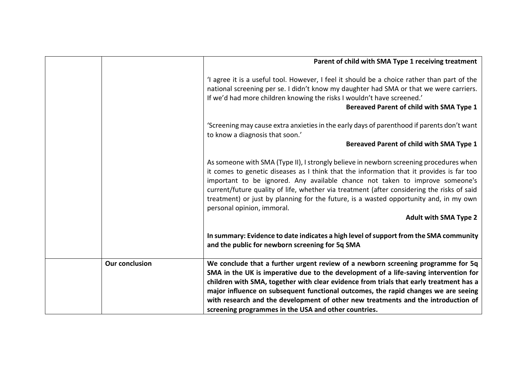|                       | Parent of child with SMA Type 1 receiving treatment                                                                                                                                                                                                                                                                                                                                                                                                                                                                     |
|-----------------------|-------------------------------------------------------------------------------------------------------------------------------------------------------------------------------------------------------------------------------------------------------------------------------------------------------------------------------------------------------------------------------------------------------------------------------------------------------------------------------------------------------------------------|
|                       | 'I agree it is a useful tool. However, I feel it should be a choice rather than part of the<br>national screening per se. I didn't know my daughter had SMA or that we were carriers.<br>If we'd had more children knowing the risks I wouldn't have screened.'<br>Bereaved Parent of child with SMA Type 1                                                                                                                                                                                                             |
|                       | 'Screening may cause extra anxieties in the early days of parenthood if parents don't want<br>to know a diagnosis that soon.'                                                                                                                                                                                                                                                                                                                                                                                           |
|                       | Bereaved Parent of child with SMA Type 1                                                                                                                                                                                                                                                                                                                                                                                                                                                                                |
|                       | As someone with SMA (Type II), I strongly believe in newborn screening procedures when<br>it comes to genetic diseases as I think that the information that it provides is far too<br>important to be ignored. Any available chance not taken to improve someone's<br>current/future quality of life, whether via treatment (after considering the risks of said<br>treatment) or just by planning for the future, is a wasted opportunity and, in my own<br>personal opinion, immoral.<br><b>Adult with SMA Type 2</b> |
|                       | In summary: Evidence to date indicates a high level of support from the SMA community<br>and the public for newborn screening for 5q SMA                                                                                                                                                                                                                                                                                                                                                                                |
| <b>Our conclusion</b> | We conclude that a further urgent review of a newborn screening programme for 5q<br>SMA in the UK is imperative due to the development of a life-saving intervention for<br>children with SMA, together with clear evidence from trials that early treatment has a<br>major influence on subsequent functional outcomes, the rapid changes we are seeing<br>with research and the development of other new treatments and the introduction of<br>screening programmes in the USA and other countries.                   |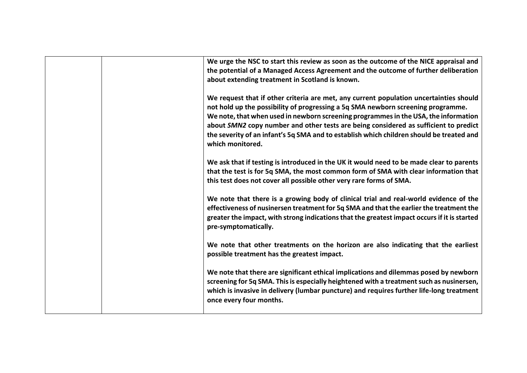| We urge the NSC to start this review as soon as the outcome of the NICE appraisal and<br>the potential of a Managed Access Agreement and the outcome of further deliberation<br>about extending treatment in Scotland is known.                                                                                                                                                                                                                                           |
|---------------------------------------------------------------------------------------------------------------------------------------------------------------------------------------------------------------------------------------------------------------------------------------------------------------------------------------------------------------------------------------------------------------------------------------------------------------------------|
| We request that if other criteria are met, any current population uncertainties should<br>not hold up the possibility of progressing a 5q SMA newborn screening programme.<br>We note, that when used in newborn screening programmes in the USA, the information<br>about SMN2 copy number and other tests are being considered as sufficient to predict<br>the severity of an infant's 5q SMA and to establish which children should be treated and<br>which monitored. |
| We ask that if testing is introduced in the UK it would need to be made clear to parents<br>that the test is for 5q SMA, the most common form of SMA with clear information that<br>this test does not cover all possible other very rare forms of SMA.                                                                                                                                                                                                                   |
| We note that there is a growing body of clinical trial and real-world evidence of the<br>effectiveness of nusinersen treatment for 5q SMA and that the earlier the treatment the<br>greater the impact, with strong indications that the greatest impact occurs if it is started<br>pre-symptomatically.                                                                                                                                                                  |
| We note that other treatments on the horizon are also indicating that the earliest<br>possible treatment has the greatest impact.                                                                                                                                                                                                                                                                                                                                         |
| We note that there are significant ethical implications and dilemmas posed by newborn<br>screening for 5q SMA. This is especially heightened with a treatment such as nusinersen,<br>which is invasive in delivery (lumbar puncture) and requires further life-long treatment<br>once every four months.                                                                                                                                                                  |
|                                                                                                                                                                                                                                                                                                                                                                                                                                                                           |